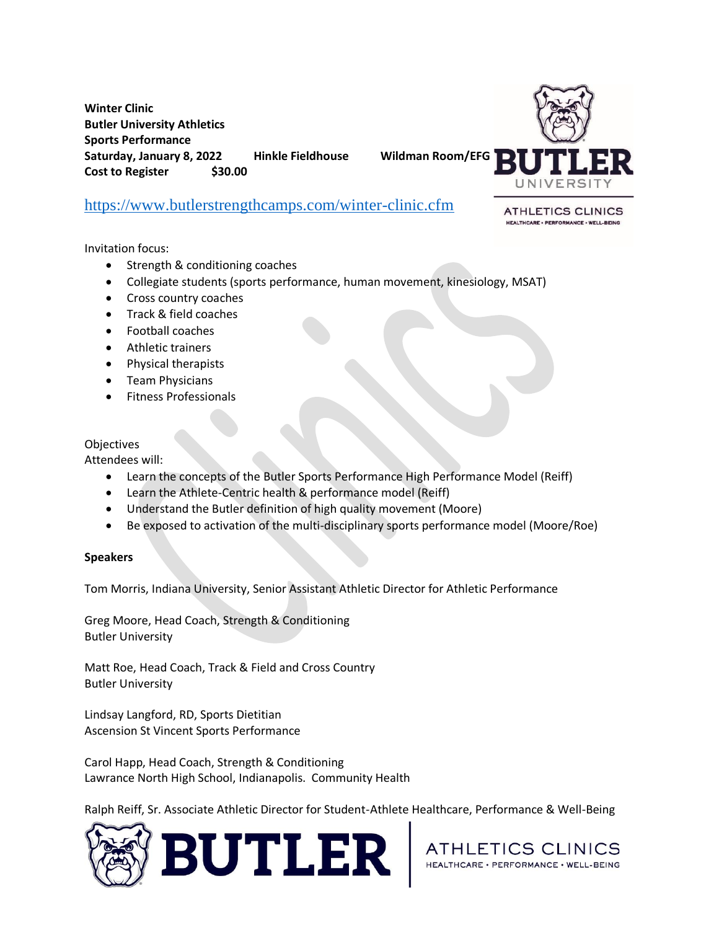**Winter Clinic Butler University Athletics Sports Performance Saturday, January 8, 2022 Hinkle Fieldhouse Wildman Room/EFG Cost to Register \$30.00**



## [https://www.butlerstrengthcamps.com/winter-clinic.cfm](https://urldefense.com/v3/__https:/www.butlerstrengthcamps.com/winter-clinic.cfm__;!!NuAq3lKL!8wdFnG27LZYogO67p6An_mKuueKvzdF9oQK5j_NzQrc8KkGWfe9De8hH4R8A9Sw1OQ$)

**ATHLETICS CLINICS** HEALTHCARE - PERFORMANCE - WELL-BEING

Invitation focus:

- Strength & conditioning coaches
- Collegiate students (sports performance, human movement, kinesiology, MSAT)
- Cross country coaches
- Track & field coaches
- Football coaches
- Athletic trainers
- Physical therapists
- Team Physicians
- Fitness Professionals

## **Objectives**

Attendees will:

- Learn the concepts of the Butler Sports Performance High Performance Model (Reiff)
- Learn the Athlete-Centric health & performance model (Reiff)
- Understand the Butler definition of high quality movement (Moore)
- Be exposed to activation of the multi-disciplinary sports performance model (Moore/Roe)

## **Speakers**

Tom Morris, Indiana University, Senior Assistant Athletic Director for Athletic Performance

Greg Moore, Head Coach, Strength & Conditioning Butler University

Matt Roe, Head Coach, Track & Field and Cross Country Butler University

Lindsay Langford, RD, Sports Dietitian Ascension St Vincent Sports Performance

Carol Happ, Head Coach, Strength & Conditioning Lawrance North High School, Indianapolis. Community Health

Ralph Reiff, Sr. Associate Athletic Director for Student-Athlete Healthcare, Performance & Well-Being



ATHLETICS CLINICS HEALTHCARE · PERFORMANCE · WELL-BEING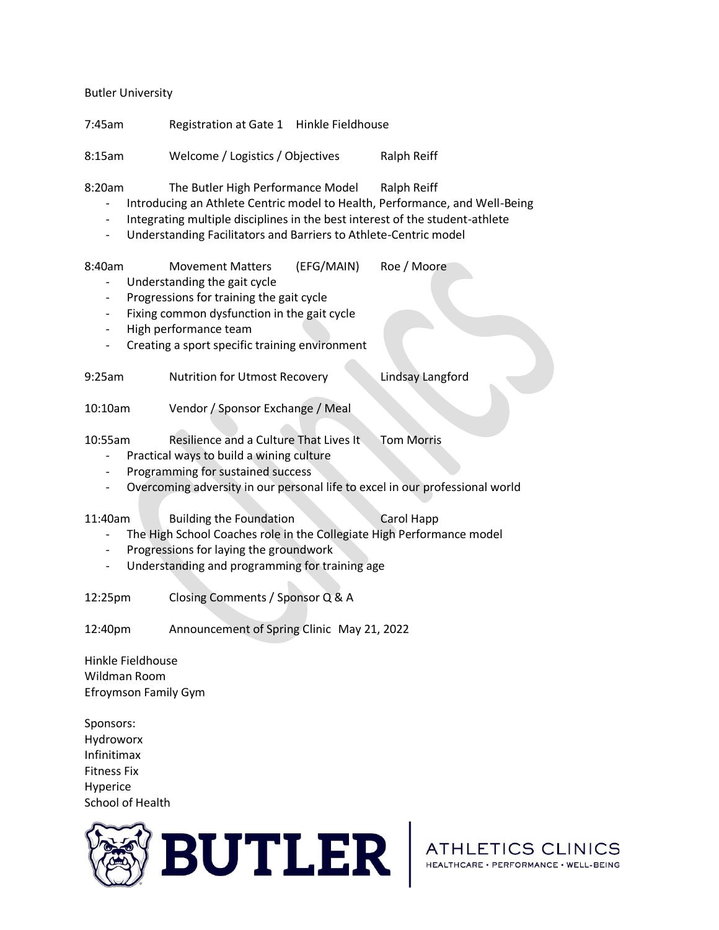Butler University

7:45am Registration at Gate 1 Hinkle Fieldhouse 8:15am Welcome / Logistics / Objectives Ralph Reiff 8:20am The Butler High Performance Model Ralph Reiff - Introducing an Athlete Centric model to Health, Performance, and Well-Being - Integrating multiple disciplines in the best interest of the student-athlete - Understanding Facilitators and Barriers to Athlete-Centric model 8:40am Movement Matters (EFG/MAIN) Roe / Moore - Understanding the gait cycle Progressions for training the gait cycle Fixing common dysfunction in the gait cycle High performance team - Creating a sport specific training environment 9:25am Nutrition for Utmost Recovery Lindsay Langford 10:10am Vendor / Sponsor Exchange / Meal 10:55am Resilience and a Culture That Lives It Tom Morris - Practical ways to build a wining culture Programming for sustained success - Overcoming adversity in our personal life to excel in our professional world 11:40am Building the Foundation Carol Happ - The High School Coaches role in the Collegiate High Performance model Progressions for laying the groundwork - Understanding and programming for training age 12:25pm Closing Comments / Sponsor Q & A 12:40pm Announcement of Spring Clinic May 21, 2022 Hinkle Fieldhouse Wildman Room Efroymson Family Gym Sponsors: Hydroworx Infinitimax Fitness Fix Hyperice

School of Health



ATHLETICS CLINICS